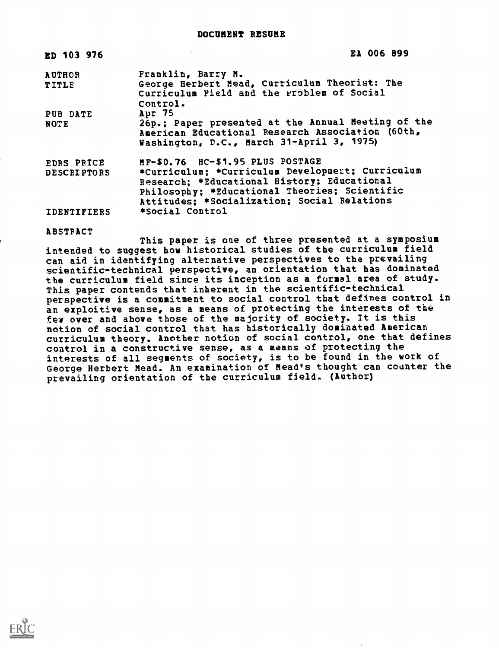| ED 103 976         | EA 006 899                                                                                                                                                                                      |
|--------------------|-------------------------------------------------------------------------------------------------------------------------------------------------------------------------------------------------|
| <b>AUTHOR</b>      | Franklin, Barry M.                                                                                                                                                                              |
| <b>TITLE</b>       | George Herbert Nead, Curriculum Theorist: The<br>Curriculum Field and the Problem of Social<br>Control.                                                                                         |
| PUB DATE           | $Apr$ 75                                                                                                                                                                                        |
| NOTE               | 26p.; Paper presented at the Annual Meeting of the<br>American Educational Research Association (60th.<br>Washington, D.C., March 31-April 3, 1975)                                             |
| <b>EDRS PRICE</b>  | MF-\$0.76 HC-\$1.95 PLUS POSTAGE                                                                                                                                                                |
| <b>DESCRIPTORS</b> | *Curriculum; *Curriculum Development; Curriculum<br>Research; *Educational History; Educational<br>Philosophy; *Educational Theories; Scientific<br>Attitudes; *Socialization; Social Relations |
| <b>IDENTIFIERS</b> | *Social Control                                                                                                                                                                                 |

### **ABSTRACT**

This paper is one of three presented at a symposium intended to suggest how historical studies of the curriculum field can aid in identifying alternative perspectives to the prevailing scientific-technical perspective, an orientation that has dominated the curriculum field since its inception as a formal area of study. This paper contends that inherent in the scientific-technical perspective is a commitment to social control that defines control in an exploitive sense, as a means of protecting the interests of the few over and above those of the majority of society. It is this notion of social control that has historically dominated American curriculum theory. Another notion of social control, one that defines control in a constructive sense, as a means of protecting the interests of all segments of society, is to be found in the work of George Herbert Mead. An examination of Mead's thought can counter the prevailing orientation of the curriculum field. (Author)

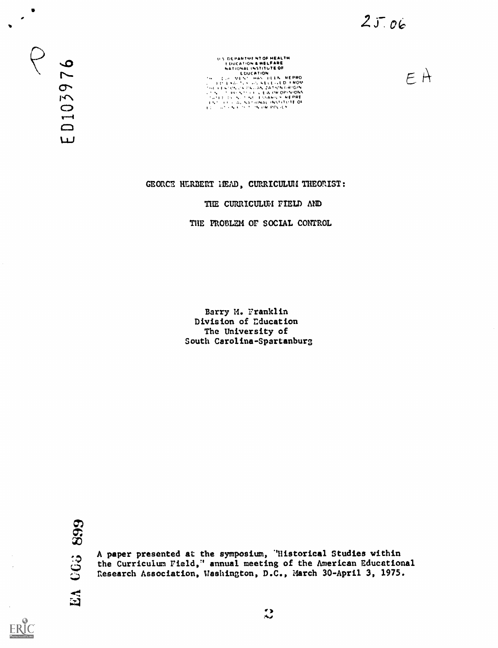$25.06$ 

 $\overline{Q}$ ED10397

 $\bullet$  $\overline{\phantom{a}}$ 

> US DEPARTMENTOF HEALTH<br>
> 1.11(41101.4 MSELFARE<br>
> NATIONAL INSTITUTE OF<br>
> COUCATION<br>
> 1.11(411) INC. STATE IN REPRO<br>
> 1.11(411) INC. STATE IN RATION ORIGIN<br>
> 1.11(411) INC. STATE IN RATION ORIGIN 1 : 1 : No. 1 : 41 : 1 : 1546 11. 11. REPRE<br>1: 1 : 1 : 11. Nacyonal institute Of<br>11.1. : No. 11. 11. 114 PR, PR, CY

 $E$  A

GEORCE HERBERT MEAD, CURRICULUM THEORIST:

THE CURRICULUM FIELD AND

THE PROBLEM or SOCIAL CONTROL

Barry M. Franklin Division of Education The University of South Carolina-Spartanburg

005 899 EA

**ERIC** 

A paper presented at the symposium, "Historical Studies within the Curriculum Field," annual meeting of the American Educational Research Association, Washington, D.C., March 30-April 3, 1975.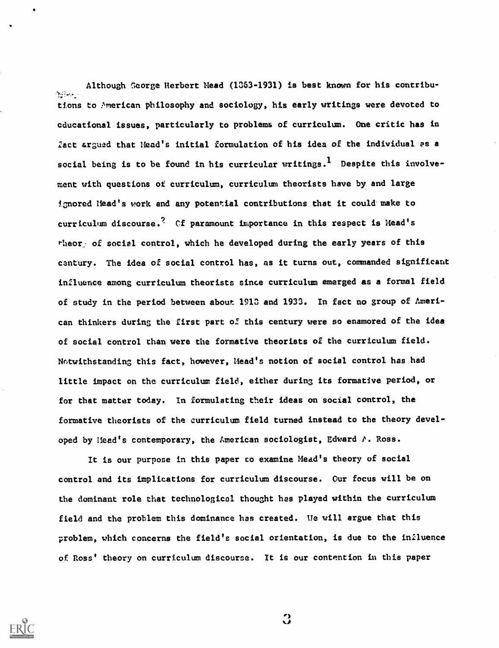Although George Herbert Mead (1363-1931) is best known for his contribu- $\sum_{i=1}^n\sum_{j=1}^n\alpha_{ij}$ tions to American philosophy and sociology, his early writings were devoted to educational issues, particularly to problems of curriculum. One critic has in fact argued that Head's initial formulation of his idea of the individual as a social being is to be found in his curricular writings.<sup>1</sup> Despite this involvement with questions of curriculum, curriculum theorists have by and large ignored Mead's work and any potential contributions that it could make to curriculum discourse.<sup>?</sup> Of paramount importance in this respect is Mead's  $r$ heor of social control, which he developed during the early years of this century. The idea of social control has, as it turns out, commanded significant influence among curriculum theorists since curriculum emerged as a formal field of study in the period between about 1913 and 1933. In fact no group of American thinkers during the first part of this century were so enamored of the idea of social control than were the formative theorists of the curriculum field. Notwithstanding this fact, however, Mead's notion of social control has had little impact on the curriculum field, either during its formative period, or for that matter today. In formulating their ideas on social control, the formative theorists of the curriculum field turned instead to the theory developed by Head's contemporary, the American sociologist, Edward  $f$ . Ross.

It is our purpose in this paper to examine Mead's theory of social control and its implications for curriculum discourse. Our focus will be on the dominant role that technological thought has played within the curriculum field and the problem this dominance has created. We will argue that this problem, which concerns the field's social orientation, is due to the influence of Ross' theory on curriculum discourse. It is our contention in this paper



 $\mathbf{C}$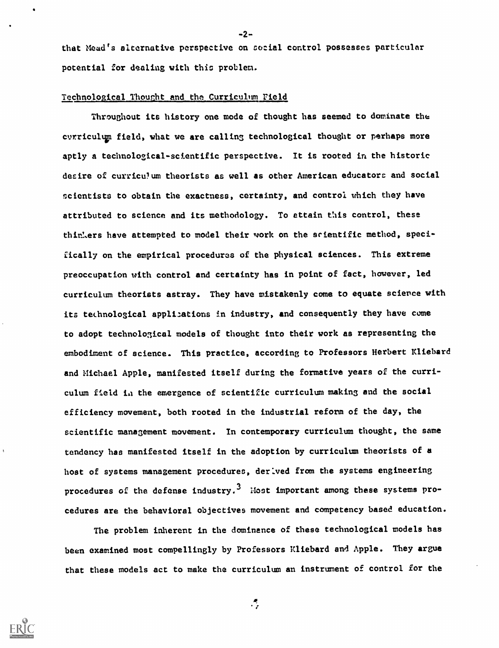that Mead's alternative perspective on social control possesses particular potential for dealing with this problem.

# Technological Thought and the Curriculum rield

Throughout its history one mode of thought has seemed to dominate the curriculum field, what we are calling technological thought or perhaps more aptly a technological-scientific perspective. It is rooted in the historic desire of curriculum theorists as well as other American educators and social scientists to obtain the exactness, certainty, and control which they have attributed to science and its methodology. To attain this control, these thirlers have attempted to model their work on the scientific method, specifically on the empirical procedures of the physical sciences. This extreme preoccupation with control and certainty has in point of fact, however, led curriculum theorists astray. They have mistakenly come to equate science with its technological applizations in industry, and consequently they have come to adopt technological models of thought into their work as representing the embodiment of science. This practice, according to Professors Herbert Kliebard and Michael Apple, manifested itself during the formative years of the curriculum field ia the emergence of scientific curriculum making and the social efficiency movement, both rooted in the industrial reform of the day, the scientific management movement. In contemporary curriculum thought, the same tendency has manifested itself in the adoption by curriculum theorists of a host of systems management procedures, derived from the systems engineering procedures of the defense industry.<sup>3</sup> Most important among these systems procedures are the behavioral objectives movement and competency based education.

The problem inherent in the dominance of these technological models has been examined most compellingly by Professors Kliebard and Apple. They argue that these models act to make the curriculum an instrument of control for the

 $\frac{1}{2}$ 



-2-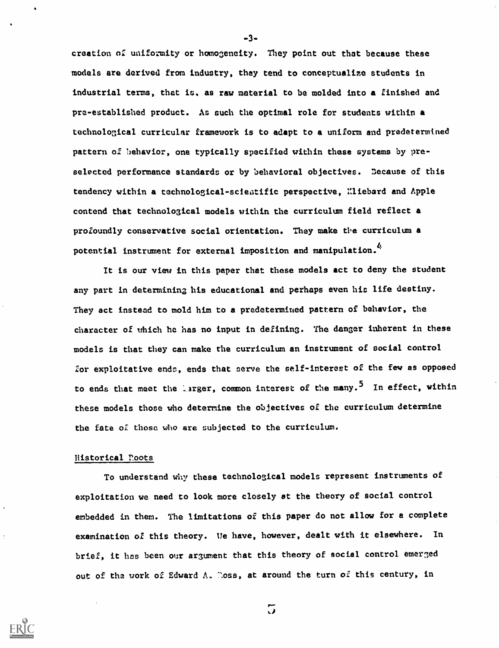creation of uniformity or homogeneity. They point out that because these models are derived from industry, they tend to conceptualize students in industrial terms, that is, as raw material to be molded into a finished and pre-established product. As such the optimal role for students within a technological curricular framework is to adapt to a uniform and predetermined pattern of hehavior, one typically specified within these systems by preselected performance standards or by behavioral objectives. 3ecause of this tendency within a technological-scientific perspective, Kliebard and Apple contend that technological models within the curriculum field reflect a profoundly conservative social orientation. They make the curriculum a potential instrument for external imposition and manipulation.<sup>4</sup>

It is our view in this paper that these models act to deny the student any part in determining his educational and perhaps even his life destiny. They act instead to mold him to a predetermined pattern of behavior, the character of which he has no input in defining. The danger inherent in these models is that they can make the curriculum an instrument of social control for exploitative ends, ends that serve the self-interest of the few as opposed to ends that meet the larger, common interest of the many.<sup>5</sup> In effect, within these models those who determine the objectives of the curriculum determine the fate of those who are subjected to the curriculum.

## Historical Poots

To understand why these technological models represent instruments of exploitation we need to look more closely at the theory of social control embedded in them. The limitations of this paper do not allow for a complete examination of this theory. We have, however, dealt with it elsewhere. In brief, it has been our argument that this theory of social control emerged out of the work of Edward A. Moss, at around the turn of this century, in

 $\tilde{\mathbf{u}}$ 

-3-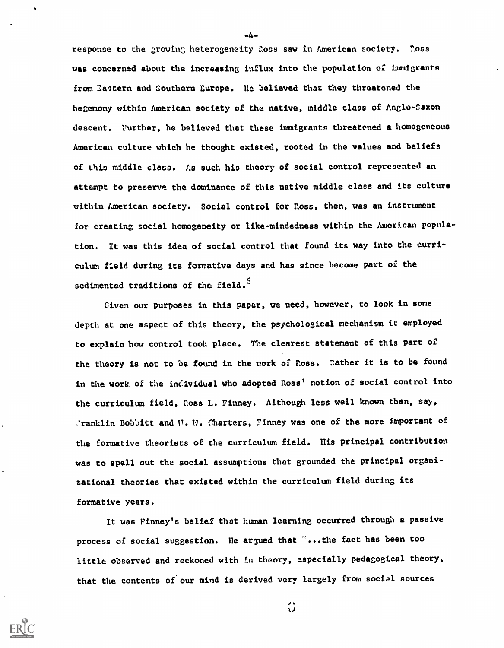response to the growing heterogeneity Ross saw in American society. Ross was concerned about the increasing influx into the population of immigrants from Eastern and Couthern Europe. He believed that they threatened the hegemony within American society of thu native, middle class of Anglo-Saxon descent. Further, he believed that these immigrants threatened a homogeneous American culture which he thought existed, rooted in the values and beliefs of this middle class. ks such his theory of social control represented an attempt to preserve the dominance of this native middle class and its culture within American society. Social control for Ross, then, was an instrument for creating social homogeneity or like-mindedness within the American population. It was this idea of social control that found its way into the curriculum field during its formative days and has since become part of the sedimented traditions of the field.<sup>5</sup>

Civen our purposes in this paper, we need, however, to look in some depth at one aspect of this theory, the psychological mechanism it employed to explain how control took place. The clearest statement of this part of the theory is not to be found in the work of Ross. Rather it is to be found in the work of the individual who adopted Ross' notion of social control into the curriculum field, Ross L. Pinney. Although less well known than, say, :ranklin Bobbitt and V. U. Charters, 7inney was one of the more important of the formative theorists of the curriculum field. His principal contribution was to spell out the social assumptions that grounded the principal organizational theories that existed within the curriculum field during its formative years.

It was Finney's belief that human learning occurred through a passive process of social suggestion. He argued that "...the fact has been too little observed and reckoned with in theory, especially pedagogical theory, that the contents of our mind is derived very largely from social sources

 $\mathcal{L}$ 

 $-4-$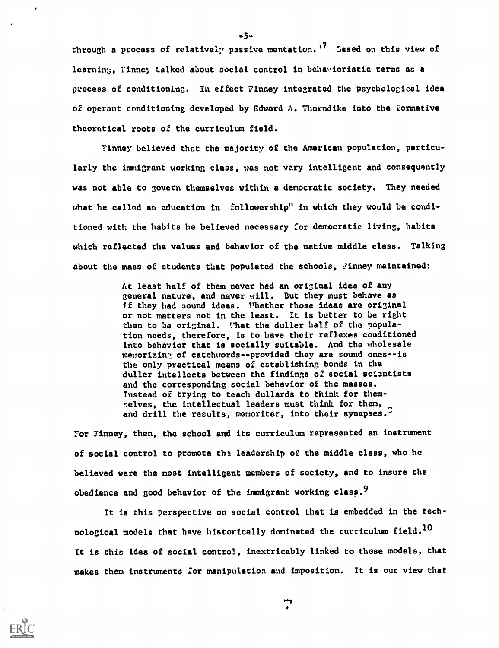through a process of relatively passive mentation."<sup>7</sup> Lased on this view of learning, Finney talked about social control in behavioristic terms as a process of conditioning. In effect Finney integrated the psychological idea of operant conditioning developed by Edward A. Thorndike into the formative theoretical roots of the curriculum field.

?inney believed that the majority of the American population, particularly the immigrant working class, was not very intelligent and consequently was not able to govern themselves within a democratic society. They needed what he called an education in 'followership" in which they would be conditioned with the habits he believed necessary for democratic living, habits which reflected the values and behavior of the native middle class. Talking about the mass of students that populated the schools, Finney maintained:

> At least half of them never had an original idea of any general nature, and never will. But they must behave as if they had sound ideas. Whether those ideas are original or not matters not in the least. It is better to be right than to be original. What the duller half of the population needs, therefore, is to have their reflexes conditioned into behavior that is socially suitable. And the wholesale memorizing of catchwords--provided they are sound ones--is the only practical means of establishing bonds in the duller intellects between the findings of social scientists and the corresponding social behavior of the masses. Instead of trying to teach dullards to think for themselves, the intellectual leaders must think for them, and drill the results, memoriter, into their synapses.

?or Finney, then, the school and its curriculum represented an instrument of social control to promote the leadership of the middle class, who he believed were the most intelligent members of society, and to insure the obedience and good behavior of the immigrant working class.<sup>9</sup>

It is this perspective on social control that is embedded in the technological models that have historically dominated the curriculum field.<sup>10</sup> It is this idea of social control, inextricably linked to these models, that makes them instruments for manipulation and imposition. It is our view that

بمر



.5..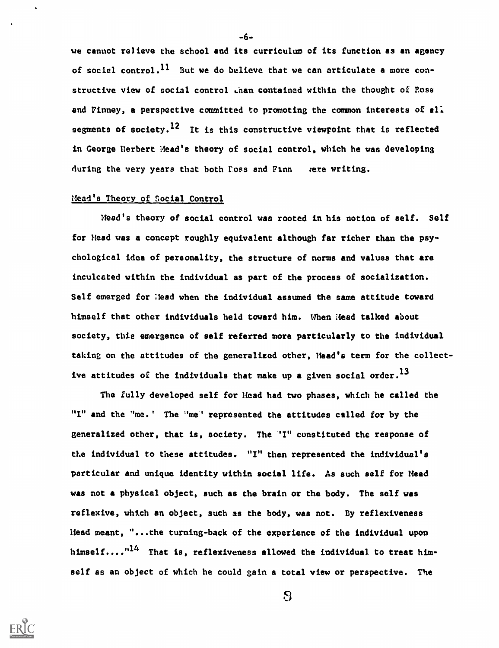we cannot relieve the school and its curriculum of its function as en agency of social control.<sup>11</sup> But we do believe that we can articulate a more constructive view of social control Lhan contained within the thought of Ross and Finney, a perspective committed to promoting the common interests of all segments of society.<sup>12</sup> It is this constructive viewpoint that is reflected in George Nerbert Mead's theory of social control, which he was developing during the very years that both foss and Finn *lere* writing.

# Mead's Theory of Social Control

Mead's theory of social control was rooted in his notion of self. Self for Mead was a concept roughly equivalent although far richer than the psychological idea of personality, the structure of norms and values that are inculcated within the individual as part of the process of socialization. Self emerged for Mead when the individual assumed the same attitude toward himself that other individuals held toward him. When Head talked about society, this emergence of self referred more particularly to the individual taking on the attitudes of the generalized other, Mead's term for the collective attitudes of the individuals that make up a given social order. $^{13}$ 

The fully developed self for Mead had two phases, which he called the "I" and the "me." The "me" represented the attitudes called for by the generalized other, that is, society. The 'I" constituted the response of the individual to these attitudes. "I" then represented the individual's particular and unique identity within social life. As such self for Mead was not a physical object, such as the brain or the body. The self was reflexive, which an object, such as the body, was not. By reflexiveness Mead meant, "...the turning-back of the experience of the individual upon himself...." $14$  That is, reflexiveness allowed the individual to treat himself as an object of which he could gain a total view or perspective. The

 $\mathbf{S}$ 

-6.

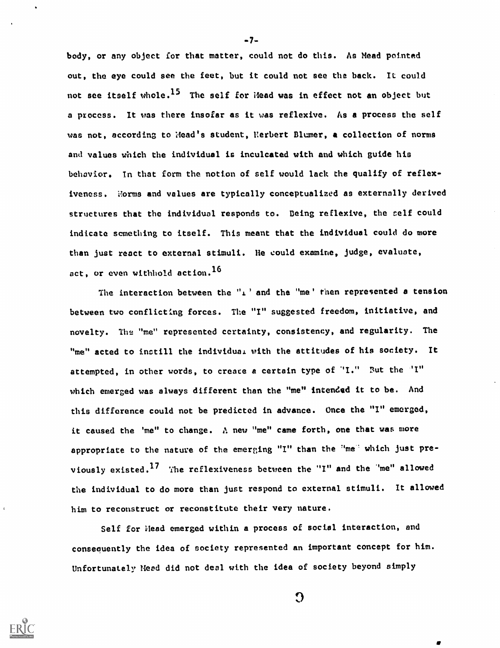body, or any object for that matter, could not do this. As Mead pointed out, the eye could see the feet, but it could not see the beck. It could not see itself whole.<sup>15</sup> The self for Mead was in effect not an object but a process. It was there insofar as it was reflexive. As a process the self was not, according to Mead's student, Nerbert Blumer, a collection of norms and values which the individual is inculcated with and which guide his behavior. In that form the notion of self would lack the qualify of reflexiveness. Norms and values are typically conceptualized as externally derived structures that the individual responds to. Doing reflexive, the self could indicate scmething to itself. This meant that the individual could do more than just react to external stimuli. Me could examine, judge, evaluate, act, or even withhold action.<sup>16</sup>

The interaction between the " $_1$ " and the "me' then represented a tension between two conflicting forces. The "I" suggested freedom, initiative, and novelty. The "me" represented certainty, consistency, and regularity. The "me" acted to instill the individual with the attitudes of his society. It attempted, in other words, to create a certain type of "I." But the "I" which emerged was always different than the "me" intended it to be. And this difference could not be predicted in advance. Once the "I" emerged, it caused the 'me" to change. A new "me" came forth, one that was more appropriate to the nature of the emerging "I" than the "me" which just previously existed.<sup>17</sup> The reflexiveness between the "I" and the "me" allowed the individual to do more than just respond to external stimuli. It allowed him to reconstruct or reconstitute their very nature.

Self for Mead emerged within a process of social interaction, and consequently the idea of society represented an important concept for him. Unfortunately Mead did not deal with the idea of society beyond simply

 $\boldsymbol{\Omega}$ 

a



-7-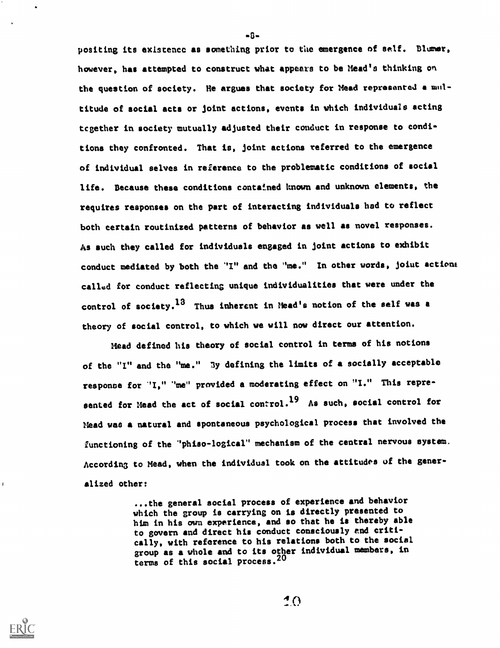positing its existence as something prior to the emergence of self. Blumer, however, has attempted to construct what appears to be Mead's thinking on the question of society. He argues that society for Mead represented a multitude of social acts or joint actions, events in which individuals acting tcgether in society mutually adjusted their conduct in response to conditions they confronted. That is, joint actions referred to the emergence of individual selves in reference to the problematic conditions of social life. Because these conditions contained known and unknown elements, the requires responses on the part of interacting individuals had to reflect both certain routinized patterns of behavior as well as novel responses. As such they called for individuals engaged in joint actions to exhibit conduct mediated by both the "I" and the "me." In other words, joiut actient celiad for conduct reflecting unique individualities that were under the control of society.<sup>13</sup> Thus inherent in Mead's notion of the self was a theory of social control, to which we will now direct our attention.

Head defined his theory of social control in terms of his notions of the "I" and the "me." By defining the limits of a socially acceptable responce for "I," "me" provided a moderating effect on "I." This represented for Mead the act of social control.<sup>19</sup> As such, social control for Mead was a natural and spontaneous psychological process that involved the functioning of the "phiso-logical" mechanism of the central nervous system. According to Mead, when the individual took on the attitudes of the generalized other:

> ...the general social process of experience and behavior which the group is carrying on is directly presented to him in his own experience, and so that he is thereby able to govern and direct his conduct consciously end critically, with reference to his relations both to the social group as a whole and to its other individual members, in terms of this social process. $20$

> > $10^{4}$

 $\mathbf{I}$ 

 $-8-$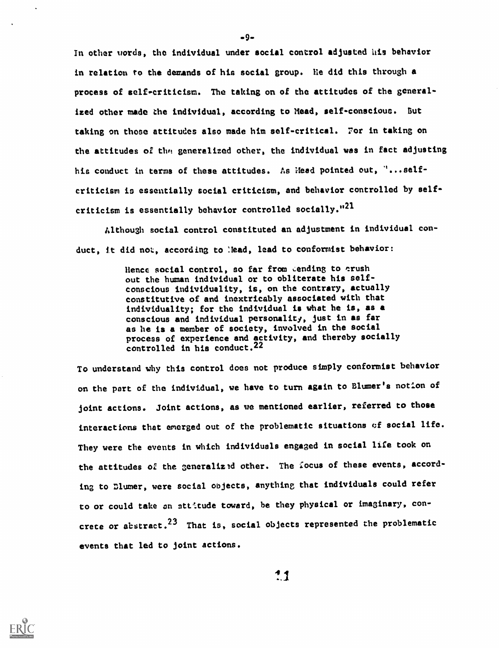In other words, the individual under social control adjusted his behavior in relation to the demands of his social group. He did this through a process of self-criticism. The taking on of the attitudes of the generalized other made the individual, according to Mead, self-conscious. But taking on those attitudes also made him self-critical. For in taking on the attitudes of the generalized other, the individual was in fact adjusting his conduct in terms of these attitudes. As Mead pointed out, "...selfcriticism is essentially social criticism, and behavior controlled by selfcriticism is essentially behavior controlled socially."<sup>21</sup>

Although social control constituted an adjustment in individual conduct, it did not, according to lead, lead to conformist behavior:

> Hence social control, so far from cending to crush out the human individual or to obliterate his selfconscious individuality, is, on the contrary, actually constitutive of and inextricably associated with that individuality; for the individual is what he is, as a conscious and individual personality, just in as far as he is a member of society, involved in the social process of experience and activity, and thereby socially controlled in his conduct.22

To understand why this control does not produce simply conformist behavior on the part of the individual, we have to turn again to Blumer's notion of joint actions. Joint actions, as we mentioned earlier, referred to those interactions that emerged out of the problematic situations cf social life. They were the events in which individuals engaged in social life took on the attitudes of the generalized other. The focus of these events, according to Zlumer, were social objects, anything that individuals could refer to or could take an attitude toward, be they physical or imaginary, concrete or abstract.<sup>23</sup> That is, social objects represented the problematic events that led to joint actions.

 $-9-$ 

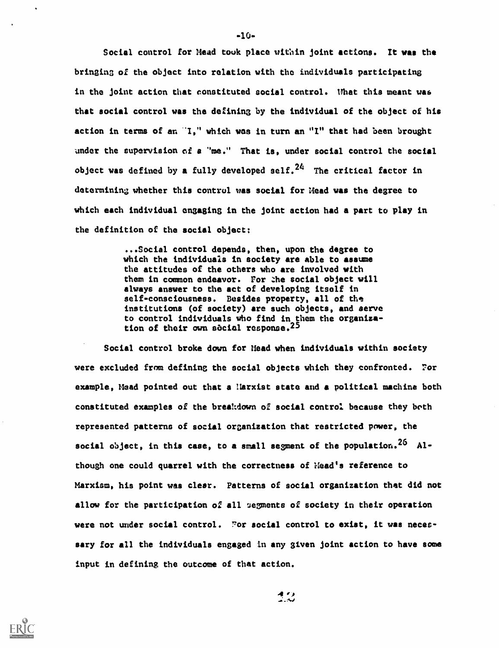Social control for Mead took place within joint actions. It was the bringing of the object into relation with the individuals participating in the joint action that constituted social control. What this meant was that social control was the defining by the individual of the object of his action in terms of an  $1$ ," which was in turn an "I" that had been brought under the supervision of a "me." That is, under social control the social object was defined by a fully developed self.<sup>24</sup> The critical factor in determining whether this control was social for Head was the degree to which each individual engaging in the joint action had a part to play in the definition of the social object:

> ...Social control depends, then, upon the degree to which the individuals in society are able to assume the attitudes of the others who are involved with them in common endeavor. For the social object will always answer to the act of developing itself in self-consciousness. Besides property, all of the institutions (of society) are such objects, and serve to control individuals who find in them the organization of their own social response.<sup>25</sup>

Social control broke down for Head when individuals within society were excluded from defining the social objects which they confronted. ?or example, Mead pointed out that a Marxist state and a political machine both constituted examples of the breakdown of social control because they both represented patterns of social organization that restricted power, the social object, in this case, to a small segment of the population.<sup>26</sup> Although one could quarrel with the correctness of Mead's reference to Marxism, his point was clear. Patterns of social organization that did not allow for the participation of all segments of society in their operation were not under social control. For social control to exist, it was necessary for all the individuals engaged in any given joint action to have some input in defining the outcome of that action.

-10-

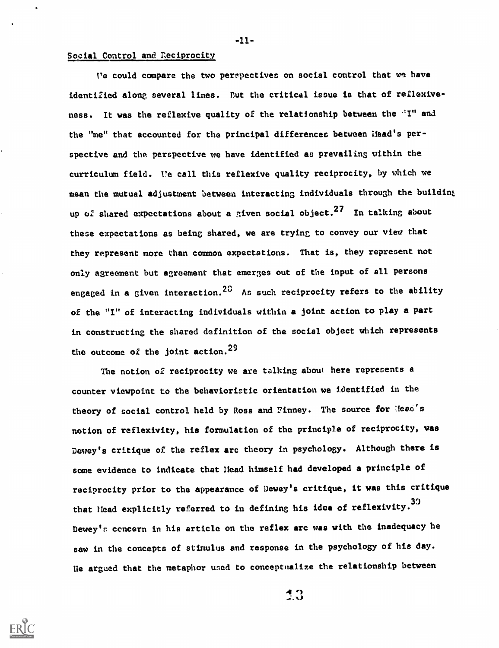## Social Control and Reciprocity

We could compare the two perspectives on social control that we have identified along several lines. But the critical issue is that of reflexiveness. It was the reflexive quality of the relationship between the 'I" and the "me" that accounted for the principal differences between Head's perspective and the perspective we have identified as prevailing within the curriculum field. Ile call this reflexive quality reciprocity, by which we mean the mutual adjustment between interacting individuals through the building up of shared expectations about a given social object.<sup>27</sup> In talking about these expectations as being shared, we are trying to convey our view that they represent more than common expectations. That is, they represent not only agreement but agreement that emerges out of the input of all persons engaged in a given interaction.<sup>23</sup> As such reciprocity refers to the ability of the "I" of interacting individuals within a joint action to play a part in constructing the shared definition of the social object which represents the outcome of the joint action.<sup>29</sup>

The notion of reciprocity we are talking about here represents a counter viewpoint to the behavioristic orientation we identified in the theory of social control held by Ross and Finney. The source for lead's notion of reflexivity, his formulation of the principle of reciprocity, was Dewey's critique of the reflex arc theory in psychology. Although there is some evidence to indicate that Head himself had developed a principle of reciprocity prior to the appearance of Dewey's critique, it was this critique that Head explicitly referred to in defining his idea of reflexivity. 30 Dewey's ccncern in his article on the reflex arc was with the inadequacy he saw in the concepts of stimulus and response in the psychology of his day. Ile argued that the metaphor used to conceptualize the relationship between

13



 $-11-$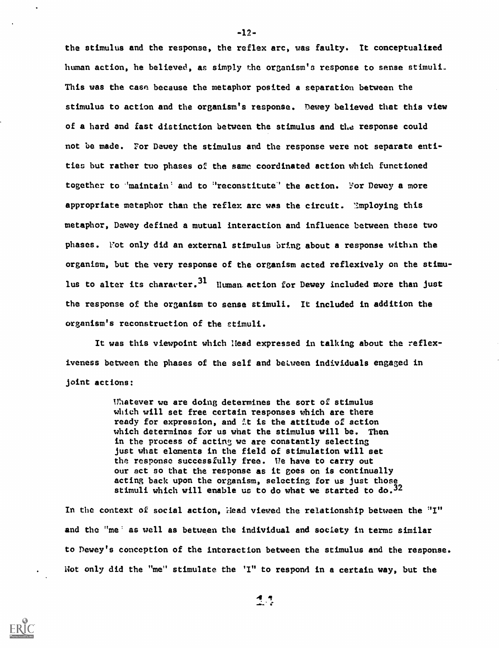the stimulus and the response, the reflex arc, was faulty. It conceptualized human action, he believed, as simply the organism's response to sense stimuli. This was the case because the metaphor posited a separation between the stimulus to action and the organism's response. Dewey believed that this view of a hard and fast distinction between the stimulus and the response could not be made. For Dewey the stimulus and the response were not separate entities but rather two phases of the same coordinated action which functioned together to "maintain" and to "reconstitute" the action. For Dewey a more appropriate metaphor than the reflex arc was the circuit. Employing this metaphor, Dewey defined a mutual interaction and influence between these two phases. Not only did an external stimulus bring about a response within the organism, but the very response of the organism acted reflexively on the stimulus to alter its character.  $31$  Human action for Dewey included more than just the response of the organism to sense stimuli. It included in addition the organism's reconstruction of the stimuli.

It was this viewpoint which Head expressed in talking about the reflexiveness between the phases of the self and beLween individuals engaged in joint actions:

> 'hatever we are doing determines the sort of stimulus which will set free certain responses which are there ready for expression, and it is the attitude of action which determines for us what the stimulus will be. Then in the process of acting we are constantly selecting just what elements in the field of stimulation will set the response successfully free. We have to carry out our act so that the response as it goes on is continually acting back upon the organism, selecting for us just those stimuli which will enable us to do what we started to do.  $32$

In the context of social action, liead viewed the relationship between the "I" and the "me' as well as between the individual and society in terms similar to Dewey's conception of the interaction between the stimulus and the response. Not only did the "me" stimulate the 'I" to respond in a certain way, but the



-12-

 $7.7$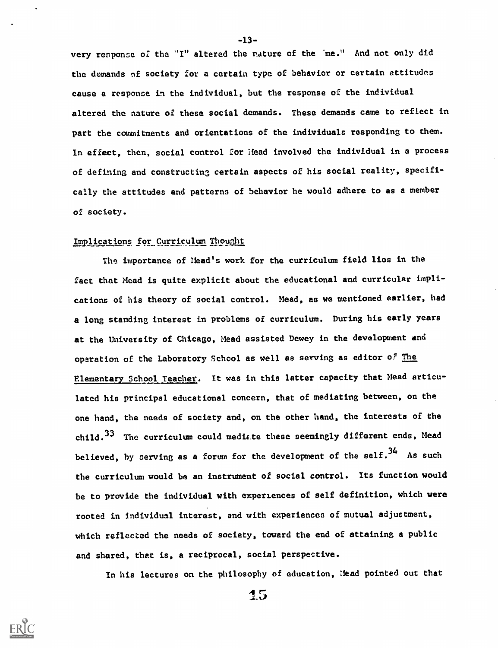very response of the "I" altered the nature of the 'me." And not only did the demands of society for a certain type of behavior or certain attitudes cause a response in the individual, but the response of the individual altered the nature of these social demands. These demands came to reflect in part the commitments and orientations of the individuals responding to them. In effect, then, social control for ifead involved the individual in a process of defining and constructing certain aspects of his social reality, specifically the attitudes and patterns of behavior he would adhere to as a member of society.

# Implications for Curriculum Thought

The importance of Mead's work for the curriculum field lies in the fact that Mead is quite explicit about the educational and curricular implications of his theory of social control. Mead, as we mentioned earlier, had a long standing interest in problems of curriculum. During his early years at the University of Chicago, Mead assisted Dewey in the development and operation of the Laboratory School as well as serving as editor of The Elementary School Teacher. It was in this latter capacity that Mead articulated his principal educational concern, that of mediating between, on the one hand, the needs of society and, on the other hand, the interests of the child. $33$  The curriculum could mediate these seemingly different ends, Mead believed, by serving as a forum for the development of the self.  $^{34}$  As such the curriculum would be an instrument of social control. Its function would be to provide the individual with experiences of self definition, which were rooted in individual interest, and with experiences of mutual adjustment, which reflected the needs of society, toward the end of attaining a public and shared, that is, a reciprocal, social perspective.

In his lectures on the philosophy of education, lead pointed out that

15



-13-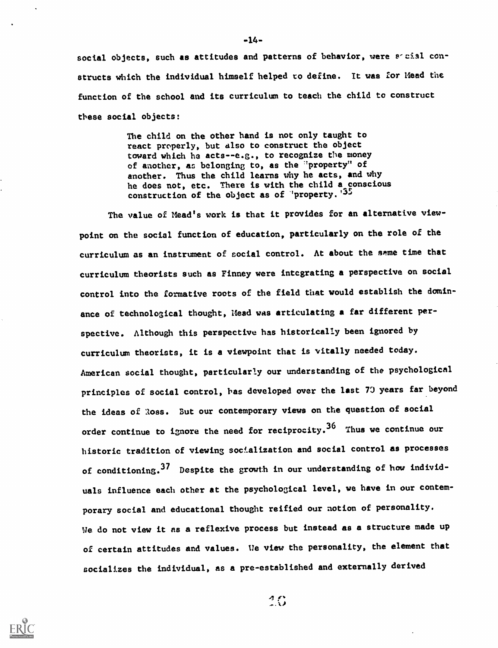social objects, such as attitudes and patterns of behavior, were secial constructs which the individual himself helped to define. It was for Mead the function of the school and its curriculum to teach the child to construct these social objects:

> The child on the other hand is not only taught to react properly, but also to construct the object toward which he acts--e.g., to recognize the money of another, as belonging to, as the ''property" of another. Thus the child learns why he acts, and why he does not, etc. There is with the child a\_conscious construction of the object as of "property. $135$

The value of Mead's work is that it provides for an alternative viewpoint on the social function of education, particularly on the role of the curriculum as an instrument of social control. At about the same time that curriculum theorists such as Finney were integrating a perspective on social control into the formative roots of the field that would establish the dominance of technological thought, Mead was articulating a far different perspective. Although this perspective has historically been ignored by curriculum theorists, it is a viewpoint that is vitally needed today. American social thought, particularly our understanding of the psychological principles of social control, has developed over the last 7D years far beyond the ideas of Ross. But our contemporary views on the question of social order continue to ignore the need for reciprocity.<sup>36</sup> Thus we continue our historic tradition of viewing socialization and social control as processes of conditioning.  $37$  Despite the growth in our understanding of how individuals influence each other at the psychological level, we have in our contemporary social and educational thought reified our notion of personality. We do not view it as a reflexive process but instead as a structure made up of certain attitudes and values. We view the personality, the element that socializes the individual, as a pre-established and externally derived

-14-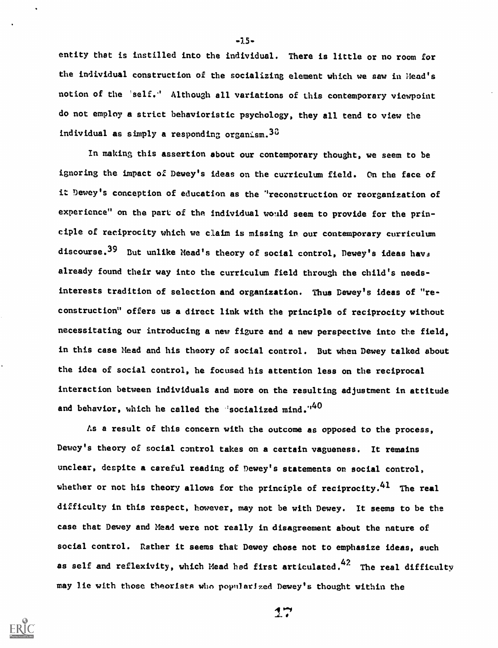entity that is instilled into the individual. There is little or no room for the individual construction of the socializing element which we saw in Mead's notion of the 'self.' Although all variations of this contemporary viewpoint do not employ a strict behavioristic psychology, they all tend to view the individual as simply a responding organism.  $33$ 

In making this assertion about our contemporary thought, we seem to be ignoring the impact of Dewey's ideas on the curriculum field. On the face of it Dewey's conception of education as the "reconstruction or reorganization of experience" on the part of the individual would seem to provide for the principle of reciprocity which we claim is missing in our contemporary curriculum discourse.<sup>39</sup> But unlike Mead's theory of social control, Dewey's ideas have already found their way into the curriculum field through the child's needsinterests tradition of selection and organization. Thus Dewey's ideas of "reconstruction" offers us a direct link with the principle of reciprocity without necessitating our introducing a new figure and a new perspective into the field, in this case Mead and his theory of social control. But when Dewey talked about the idea of social control, he focused his attention less on the reciprocal interaction between individuals and more on the resulting adjustment in attitude and behavior, which he called the 'socialized mind."<sup>40</sup>

As a result of this concern with the outcome as opposed to the process, Dewey's theory of social control takes on a certain vagueness. It remains unclear, despite a careful reading of Dewey's statements on social control, whether or not his theory allows for the principle of reciprocity. $41$  The real difficulty in this respect, however, may not be with Dewey. It seems to be the case that Dewey and Mead were not really in disagreement about the nature of social control. Rather it seems that Dewey chose not to emphasize ideas, such as self and reflexivity, which Mead had first articulated. $42$  The real difficulty may lie with those theorists who popularized Dewey's thought within the

-15-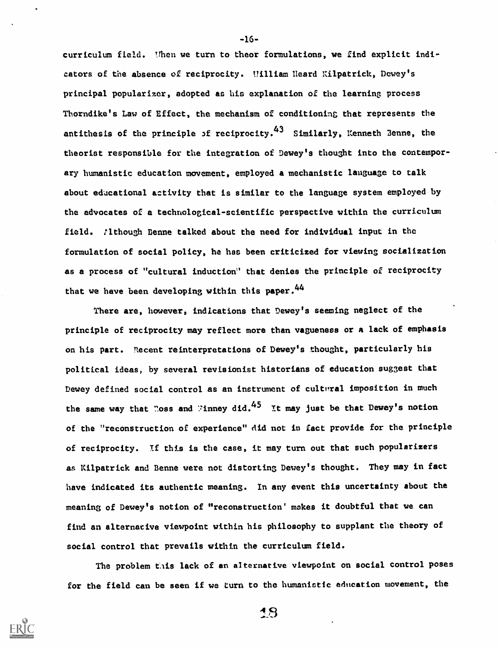curriculum field. When we turn to theor formulations, we find explicit indicators of the absence of reciprocity. William Heard Kilpatrick, Dewey's principal popularizer, adopted as his explanation of the learning process Thorndike's Law of Effect, the mechanism of conditioning that represents the antithesis of the principle of reciprocity.<sup>43</sup> Similarly, Kenneth Benne, the theorist responsible for the integration of Dewey's thought into the contemporary humanistic education movement, employed a mechanistic language to talk about educational activity that is similar to the language system employed by the advocates of a technological-scientific perspective within the curriculum field. Although Benne talked about the need for individual input in the formulation of social policy, he has been criticized for viewing socialization as a process of "cultural induction" that denies the principle of reciprocity that we have been developing within this paper.<sup>44</sup>

-16-

There are, however, indications that Dewey's seeming neglect of the principle of reciprocity may reflect more than vagueness or a lack of emphasis on his part. Recent reinterpretations of Dewey's thought, particularly his political ideas, by several revisionist historians of education suggest that Dewey defined social control as an instrument of cultural imposition in much the same way that "oss and Finney did.<sup>45</sup> It may just be that Dewey's notion of the "reconstruction of experience" did not in fact provide for the principle of reciprocity. If this is the case, it may turn out that such popularizers as Kilpatrick and Benne were not distorting Dewey's thought. They may in fact have indicated its authentic meaning. In any event this uncertainty about the meaning of Dewey's notion of "reconstruction' makes it doubtful that we can find an alternative viewpoint within his philosophy to supplant the theory of social control that prevails within the curriculum field.

The problem this lack of an alternative viewpoint on social control poses for the field can be seen if we turn to the humanistic education movement, the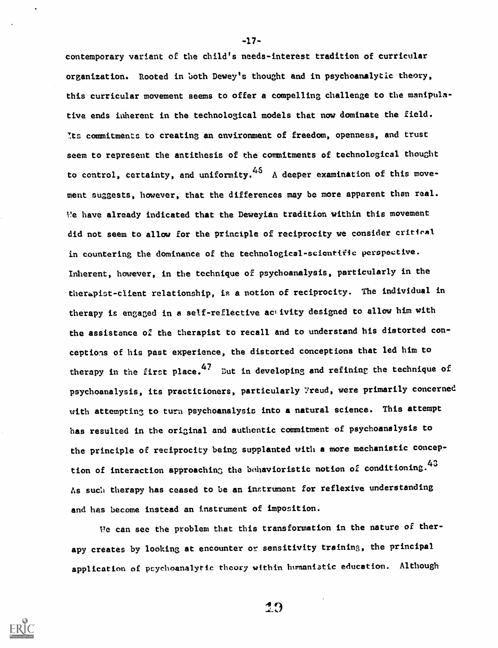contemporary variant of the child's needs-interest tradition of curricular organization. Rooted in both Dewey's thought and in psychoanalytic theory, this curricular movement seems to offer a compelling challenge to the manipulative ends iaherent in the technological models that now dominate the field. 7.ts commitments to creating an environment of freedom, openness, and trust seem to represent the antithesis of the commitments of technological thought to control, certainty, and uniformity.  $45$  A deeper examination of this movement suggests, however, that the differences may be more apparent than real. Ve have already indicated that the Deweyian tradition within this movement did not seem to allow for the principle of reciprocity we consider critical in countering the dominance of the technological-scientific perspective. Inherent, however, in the technique of psychoanalysis, particularly in the therapist-client relationship, is a notion of reciprocity. The individual in therapy is engaged in a self-reflective activity designed to allow him with the assistance of the therapist to recall and to understand his distorted conceptions of his past experience, the distorted conceptions that led him to therapy in the first place.<sup>47</sup> But in developing and refining the technique of psychoanalysis, its practitioners, particularly Freud, were primarily concerned with attempting to turn psychoanalysis into a natural science. This attempt has resulted in the original and authentic commitment of psychoanalysis to the principle of reciprocity being supplanted with a more mechanistic conception of interaction approaching the behavioristic notion of conditioning.<sup>43</sup> As such therapy has ceased to be an instrument for reflexive understanding and has become instead an instrument of imposition.

Ve can see the problem that this transformation in the nature of therapy creates by looking at encounter or sensitivity training, the principal application of psychoanalytic theory within humanistic education. Although



-17-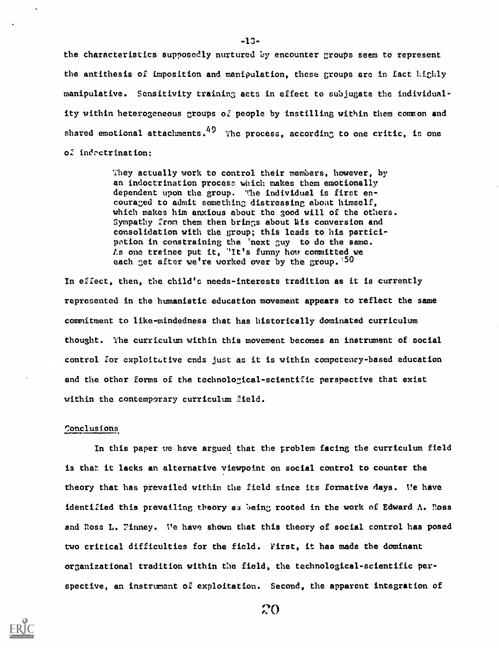the characteristics supposedly nurtured by encounter groups seem to represent the antithesis of imposition and manipulation, these groups are in fact highly manipulative. Sensitivity training acts in effect to subjugate the individuality within heterogeneous groups of people by instilling within them common and shared emotional attachments.  $49$  The process, according to one critic, is one of indectrination:

> They actually work to control their members, however, by an indoctrination process which makes them emotionally dependent upon the group. The individual is first encouraged to admit something distressing about himself, which makes him anxious about the good will of the others. Sympathy from them then brings about Lis conversion and consolidation with the group; this leads to his participotion in constraining the 'next guy to do the same. Ls one trainee put it, "It's funny how committed we each get after we're worked over by the group.<sup>50</sup>

In effect, then, the child's needs-interests tradition as it is currently represented in the humanistic education movement appears to reflect the same commitment to like-mindedness that has historically dominated curriculum thought. The curriculum within this movement becomes an instrument of social control for exploitative ends just as it is within competency-based education and the other forms of the technological-scientific perspective that exist within the contemporary curriculum field.

### Conclusions

In this paper we have argued that the problem facing the curriculum field is that it lacks an alternative viewpoint on social control to counter the theory that has prevailed within the field since its formative days. Ve have identified this prevailing theory as being rooted in the work of Edward  $\Lambda$ . Ross and Ross L. Finney. We have shown that this theory of social control has posed two critical difficulties for the field. First, it has made the dominant organizational tradition within the field, the technological-scientific perspective, an instrument of exploitation. Second, the apparent integration of



-13-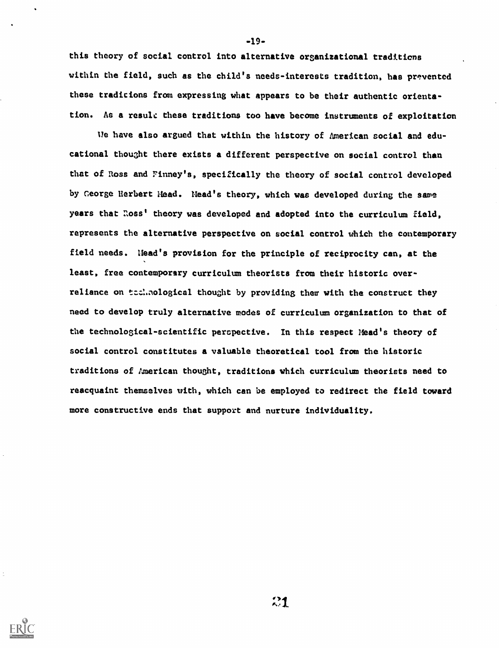this theory of social control into alternative organizational traditions within the field, such as the child's needs-interests tradition, has prevented these traditions from expressing what appears to be their authentic orientation. As a result: these traditions too have become instruments of exploitation

We have also argued that within the history of American social and educational thought there exists a different perspective on social control than that of loss and Pinney's, specifically the theory of social control developed by George Herbert Mead. Mead's theory, which was developed during the same years that Ross' theory was developed and adopted into the curriculum field, represents the alternative perspective on social control which the contemporary field needs. Mead's provision for the principle of reciprocity can, at the least, free contemporary curriculum theorists from their historic overreliance on tzchnological thought by providing them with the construct they need to develop truly alternative modes of curriculum organization to that of the technological-scientific perspective. In this respect Mead's theory of social control constitutes a valuable theoretical tool from the historic traditions of American thought, traditions which curriculum theorists need to reacquaint themselves with, which can be employed to redirect the field toward more constructive ends that support and nurture individuality.



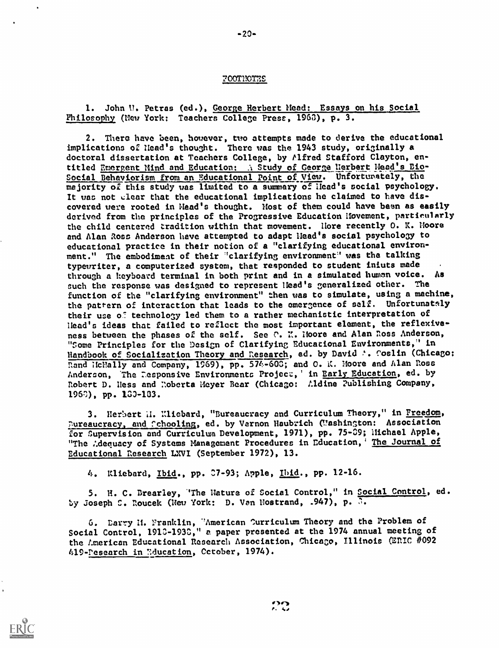### FOOTNOTES

-20-

1. John U. Petras (ed.), George Herbert Mead: Essays on his Social Philosophy (New York: Teachers College Press, 19G3), p. 3.

2. There have been, however, two attempts made to derive the educational implications of Mead's thought. There was the 1943 study, originally a doctoral dissertation at Teachers College, by Alfred Stafford Clayton, entitled Emergent Mind and Education: A Study of George Herbert Mead's Bio-Social Behaviorism from an Educational Point of View. Unforturately, the majority of this study was limited to a summary of Mead's social psychology. It was not elear that the educational implications he claimed to have discovered were rooted in Mead's thought. Most of them could have been as easily derived from the principles of the Progressive Education Movement, particularly the child centered tradition within that movement. More recently O. K. Moore and Alan Ross Anderson have attempted to adapt Mead's social psychology to educational practice in their notion of a "clarifying educational environment." The embodiment of their 'clarifying environment' was the talking typewriter, a computerized system, that responded to student iniuts made through a keyboard terminal in both print and in a simulated human voice. As such the response was designed to represent Head's generalized other. The function of the "clarifying environment" then was to simulate, using a machine, the pattern of interaction that leads to the emergence of self. Unfortunataly their use of technology led them to a rather mechanistic interpretation of Mead's ideas that failed to reflect the most important element, the reflexiveness between the phases of the self. See C. K. Moore and Alan Ross Anderson, "Some Principles for the Design of Clarifying Educational Environments," in Handbook of Socialization Theory and Research, ed. by David . Coslin (Chicago: Rand McMally and Company, 1969), pp. 574-603; and O. K. Moore and Alan Ross Anderson, The Desponsive Environments Project,' in Early Education, ed. by Robert D. Hess and Roberta Meyer Bear (Chicago: Aldine Publishing Company, 196) , pp. 130-103.

3. Herbert I. Xliebard, "Bureaucracy and Curriculum Theory," in Freedom, Pureaucracy, and Cchooling, ed. by Vernon Haubrich (Washington: Association for Supervision and Curriculum Development, 1971), pp. 75-39; Michael Apple, "The Adequacy of Systems Management Procedures in Education, The Journal of Educational Research LXVI (September 1972), 13.

4. Xliebard, Ibid., pp. 37-93; Apple, Ibid., pp. 12-16.

5. H. C. Brearley, "The Nature of Social Control," in Social Control, ed. by Joseph C. Roucek (New York: D. Van Nostrand, .947), p. 3.

6. Larry II. Franklin, "American Curriculum Theory and the Problem of Social Control, 1913-1933," a paper presented at the 1974 annual meeting of the American Educational Research Association, Chicago, Illinois (ERIC #092 419-Research in 7.ducation, October, 1974).

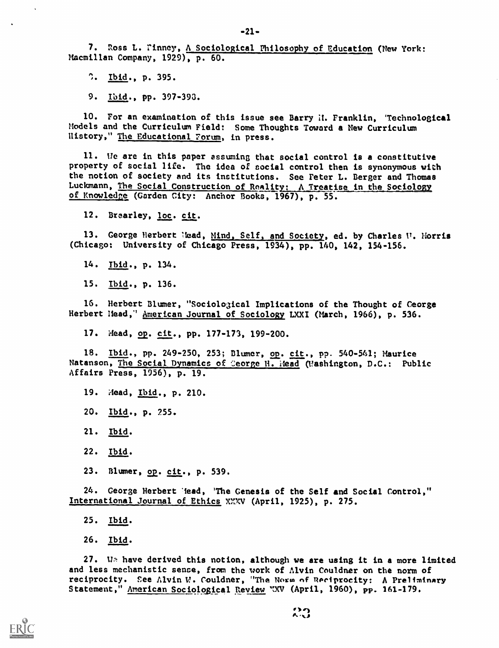7. Ross L. Pinney, A Sociological Philosophy of Education (New York: Macmillan Company, 1929), p. 60.

2. Ibid., p. 395.

9. Ibid., pp. 397-393.

10. For an examination of this issue see Barry H. Franklin, 'Technological Models and the Curriculum Field: Some Thoughts Toward a New Curriculum History," The Educational Forum, in press.

11. Ue are in this paper assuming that social control is a constitutive property of social life. The idea of social control then is synonymous with the notion of society and its institutions. See Peter L. Berger and Thomas Luckmann, The Social Construction of Reality: A Treatise in the Sociology of Knowledge (Garden City: Anchor Books, 1967), p. 55.

12. Brearley, loc. cit.

13. George Herbert lead, Mind, Self, and Society, ed. by Charles V. Morris (Chicago: University of Chicago Press, 1934), pp. 140, 142, 154-156.

14. Ibid., p. 134.

15. Ibid., p. 136.

16. Herbert Blumer, "Sociological Implications of the Thought of Ceorge Herbert Head," American Journal of Sociology LXXI (March, 1966), p. 536.

17. Mead, op. cit., pp. 177-173, 199-200.

18. Ibid., pp. 249-250, 253; Blumer, op. cit., pp. 540-541; Maurice Natanson, The Social Dynamics of Ceorge H. Mead (Mashington, D.C.: Public Affairs Press, 1956), p. 19.

19. Mead, Ibid., p. 210.

20. Ibid., p. 255.

21. Ibid.

22. Ibid.

23. Blumer, op. cit., p. 539.

24. George Herbert lead, 'The Genesis of the Self and Social Control," International Journal of Ethics XXXV (April, 1925), p. 275.

25. Ibid.

26. Ibid.

27. We have derived this notion, although we are using it in a more limited and less mechanistic sense, from the work of Alvin Couldner on the norm of reciprocity. See Alvin W. Couldner, "The Norm of Reciprocity: A Preliminary Statement," American Sociological Review (April, 1960), pp. 161-179.

 $f(\theta) = \frac{1}{2}$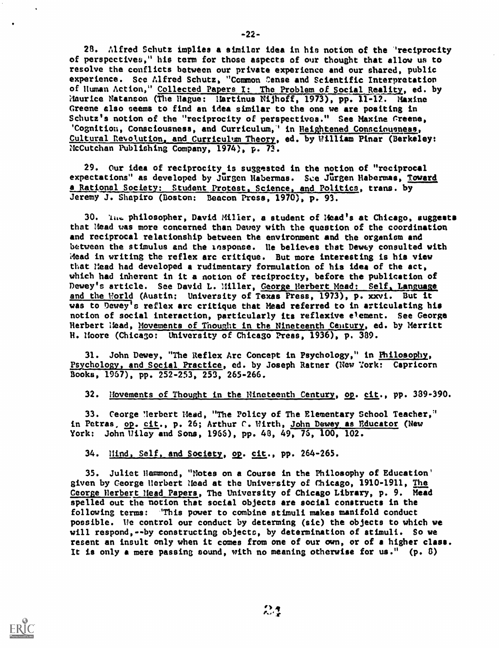28. Alfred Schutz implies a similar idea in his notion of the 'reciprocity of perspectives," his term for those aspects of our thought that allow us to resolve the conflicts between our private experience and our shared, public experience. See Alfred Schutz, "Common Cense and Scientific Interpretation of Human Action," Collected Papers I: The Problem of Social Reality, ed. by Maurice Natanson (The Hague: Martinus Nijhoff, 1973), pp. 11-12. Maxine Greene also seems to find an idea similar to the one we are positing in Schutz's notion of the "reciprocity of perspectives." See Maxine Creene, 'Cognition, Consciousness, and Curriculum,' in Heightened Consciousness, Cultural Revolution, and Curriculum Theory, ed. by William Pinar (Berkeley: McCutchan Publishing Company, 1974), p. 73.

29. Our idea of reciprocity is suggested in the notion of "reciprocal expectations" as developed by Jurgen Habermas. See Jurgen Habermas, Toward a Rational Society: Student Protest, Science, and Politics, trans. by Jeremy J. Shapiro (Boston: Beacon Press, 1970), p. 93.

30. The philosopher, David Miller, a student of Mead's at Chicago, suggests that Mead was more concerned than Dewey with the question of the coordination and reciprocal relationship between the environment and the organism and between the stimulus and the response. He believes that Dewey consulted with Mead in writing the reflex arc critique. But more interesting is his view that Mead had developed a rudimentary formulation of his idea of the act, which had inherent in it a notion of reciprocity, before the publication of Dewey's article. See David L. Miller, George Herbert Mead: Self, Language and the World (Austin: University of Texas Press, 1973), p. xxvi. But it was to Dewey's reflex arc critique that Mead referred to in articulating his notion of social interaction, particularly its reflexive element. See George Herbert Mead, Movements of Thought in the Nineteenth Century, ed. by Merritt H. Moore (Chicago: University of Chicago Press, 1936), p. 389.

31. John Dewey, "The Reflex Arc Concept in Psychology," in Philosophy, Psychology, and Social Practice, ed. by Joseph Ratner (New York: Capricorn Books, 1967), pp. 252-253, 253, 265-266.

32. Movements of Thought in the Mineteenth Century, op. cit., pp. 389-390.

33. Ceorge Merbert Mead, "The Policy of The Elementary School Teacher," in Petras, op. cit., p. 26; Arthur C. Wirth, John Dewey as Educator (New York: John Wiley and Sons, 1966), pp. 48, 49, 76, 100, 102.

34. Mind, Self, and Society, op. cit., pp. 264-265.

35. Juliet Hammond, "Notes on a Course in the Philosophy of Education' given by Ceorge Herbert Mead at the University of Chicago, 1910-1911, The George Herbert Mead Papers, The University of Chicago Library, p. 9. Mead spelled out the notion that social objects are social constructs in the following terms: 'This power to combine stimuli makes manifold conduct possible. We control our conduct by determing (sic) the objects to which we will respond,--by constructing objects, by determination of stimuli. So we resent an insult only when it comes from one of our own, or of a higher class. It is only a mere passing sound, with no meaning otherwise for us." (p. 8)

 $2.1$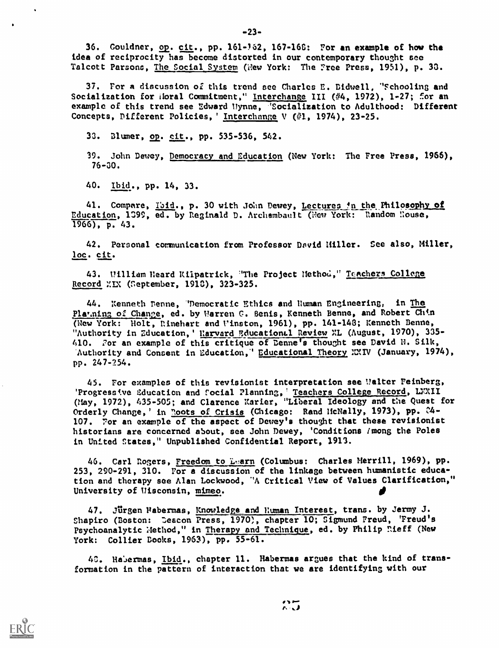36. Couldner,  $op. cit.$ , pp. 161-'62, 167-168: For an example of how the idea of reciprocity has become distorted in our contemporary thought see Talcott Parsons, The Social System (New York: The Free Press, 1951), p. 33.

37. For a discussion of this trend see Charles E. Bidwell, "Fchooling and Socialization for Moral Commitment," Interchange III (#4, 1972), 1-27; for an example of this trend see Edward Ilynne, 'Socialization to Adulthood: Different Concepts, Different Policies, 'Interchange V (#1, 1974), 23-25.

33. Blumer, op. cit., pp. 535-536, 542.

39. John Dewey, Democracy and Education (New York: The Free Press, 1966), 76-30.

40. Ibid., pp. 14, 33.

41. Compare, Ibid., p. 30 with John Dewey, Lectures in the Philosophy of Education, 1399, ed. by Reginald D. Archembault (New York: Random Nouse, 1966), p. 43.

42. Personal conmunication from Professor David Hiller. See also, Miller, loc. cit.

43. William Heard Kilpatrick, "The Project Nethod," Teachers College Record XIX (September, 1913), 323-325.

44. Kenneth Denne, 'Democratic Ethics and Human Engineering, in The Plauning of Change, ed. by Varren G. Benis, Kenneth Benne, and Robert Chin (New York: Holt, Rinehart and Vinston, 1961), pp. 141-148; Kenneth Benne, "Authority in Education, ' Harvard Education11 Review XL (August, 1970), 335-410. For an example of this critique of Benne's thought see David N. Silk, 'Authority and Consent in Education," Educational Theory NXIV (January, 1974), pp. 247-254.

45. For examples of this revisionist interpretation see Ualter Feinberg, Progressive Education and Focial Planning, Teachers College Record, LXXII (May, 1972), 435-505; and Clarence Karier, "Liberal Ideology and the Quest for Orderly Change,' in Roots of Crisis (Chicago: Rand HcNally, 1973), pp. C4-107. For an example of the aspect of Dewey's thought that these revisionist historians are concerned about, see John Dewey, 'Conditions Imong the Poles in United States," Unpublished Confidential Report, 1913.

4G. Carl Rogers, Freedom to I.-ern (Columbus: Charles Merrill, 1969), pp. 253, 290-291, 310. For a discussion of the linkage between humanistic education and therapy see Alan Lockwood, "A Critical View of Values Clarification," University of Uisconsin, mimeo.

47. Jürgen Pabermas, Knowledge and Human Interest, trans. by Jermy J. Psychoanalytic Method," in Therapy and Technique, ed. by Philip Rieff (New York: Collier Books, 1963), pp. 55-61. Shapiro (Boston: Deacon Press, 1970), chapter 10; Sigmund Freud, 'Freud's

48. Habermas, Ibid., chapter 11. Habermas argues that the kind of transformation in the pattern of interaction that we are identifying with our